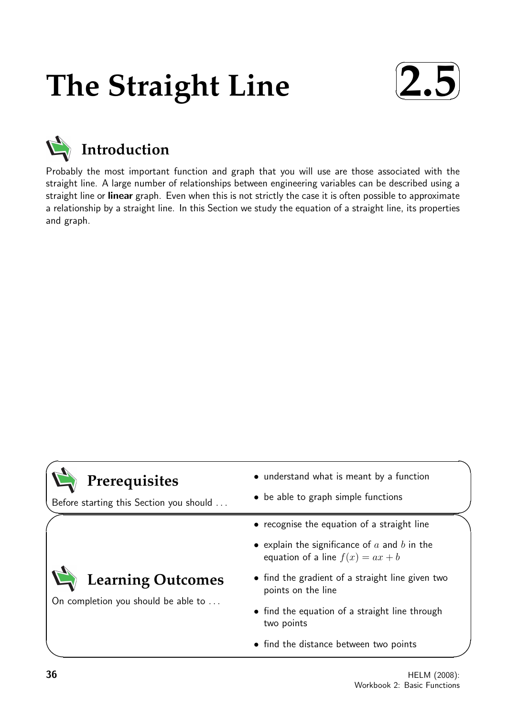# **The Straight Line**





Probably the most important function and graph that you will use are those associated with the straight line. A large number of relationships between engineering variables can be described using a straight line or linear graph. Even when this is not strictly the case it is often possible to approximate a relationship by a straight line. In this Section we study the equation of a straight line, its properties and graph.

| Prerequisites<br>Before starting this Section you should | • understand what is meant by a function<br>• be able to graph simple functions        |
|----------------------------------------------------------|----------------------------------------------------------------------------------------|
|                                                          | • recognise the equation of a straight line                                            |
|                                                          | • explain the significance of $a$ and $b$ in the<br>equation of a line $f(x) = ax + b$ |
| <b>Learning Outcomes</b>                                 | • find the gradient of a straight line given two<br>points on the line                 |
| On completion you should be able to                      | • find the equation of a straight line through<br>two points                           |
|                                                          | • find the distance between two points                                                 |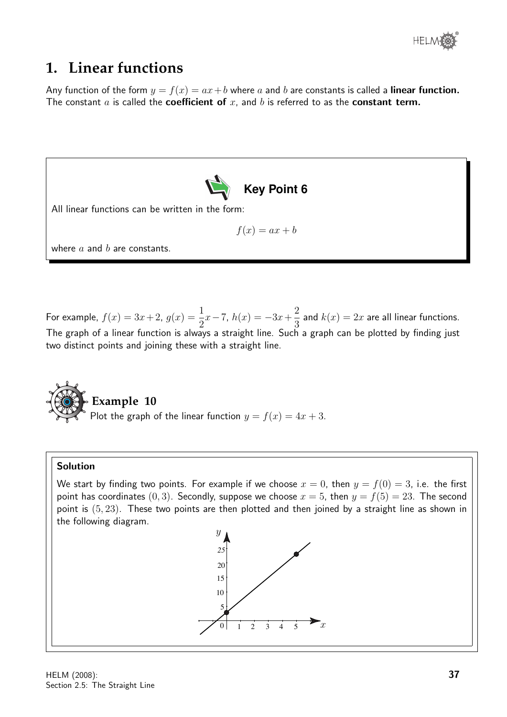

## **1. Linear functions**

Any function of the form  $y = f(x) = ax + b$  where a and b are constants is called a **linear function.** The constant  $a$  is called the **coefficient of**  $x$ , and  $b$  is referred to as the **constant term.** 



For example,  $f(x) = 3x + 2$ ,  $g(x) = \frac{1}{2}$ 2  $x-7$ ,  $h(x) = -3x+\frac{2}{2}$ 3 and  $k(x) = 2x$  are all linear functions. The graph of a linear function is always a straight line. Such a graph can be plotted by finding just two distinct points and joining these with a straight line.



## **Example 10**

Plot the graph of the linear function  $y = f(x) = 4x + 3$ .

#### Solution

We start by finding two points. For example if we choose  $x = 0$ , then  $y = f(0) = 3$ , i.e. the first point has coordinates (0, 3). Secondly, suppose we choose  $x = 5$ , then  $y = f(5) = 23$ . The second point is (5, 23). These two points are then plotted and then joined by a straight line as shown in the following diagram.

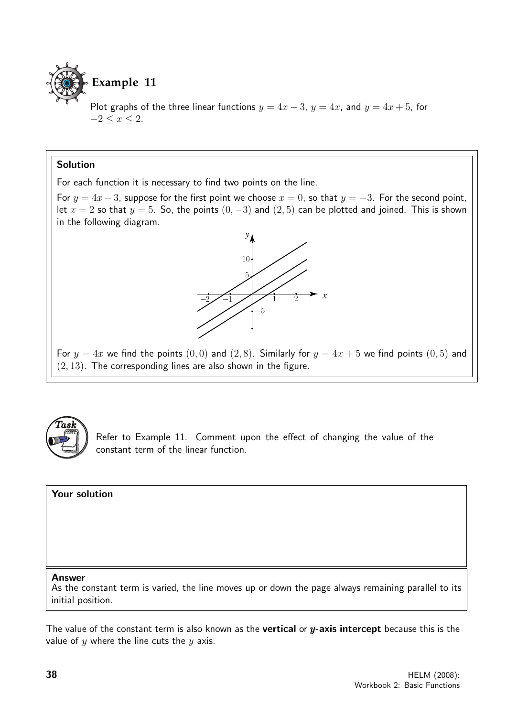

Plot graphs of the three linear functions  $y = 4x - 3$ ,  $y = 4x$ , and  $y = 4x + 5$ , for  $-2\leq x\leq 2.$ 

#### Solution

For each function it is necessary to find two points on the line.

For  $y = 4x - 3$ , suppose for the first point we choose  $x = 0$ , so that  $y = -3$ . For the second point, let  $x = 2$  so that  $y = 5$ . So, the points  $(0, -3)$  and  $(2, 5)$  can be plotted and joined. This is shown in the following diagram.



For  $y = 4x$  we find the points  $(0, 0)$  and  $(2, 8)$ . Similarly for  $y = 4x + 5$  we find points  $(0, 5)$  and  $(2, 13)$ . The corresponding lines are also shown in the figure.



Refer to Example 11. Comment upon the effect of changing the value of the constant term of the linear function.

#### Your solution

#### Answer

As the constant term is varied, the line moves up or down the page always remaining parallel to its initial position.

The value of the constant term is also known as the **vertical** or  $y$ -axis intercept because this is the value of  $y$  where the line cuts the  $y$  axis.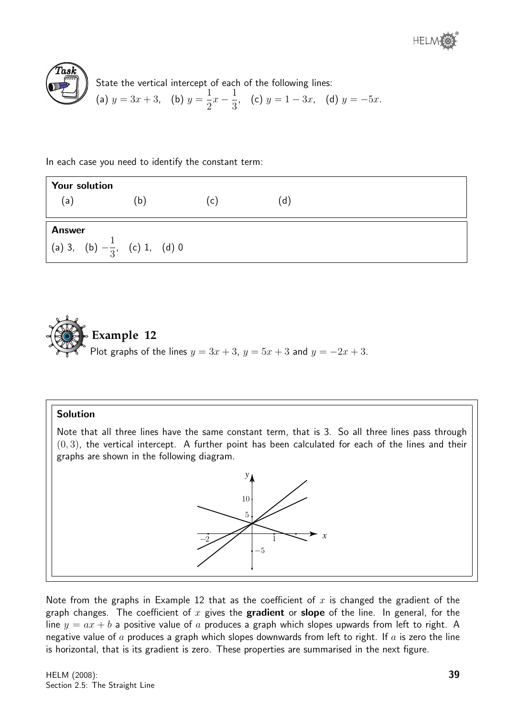

 $\widehat{T}$ as $\widehat{k}$ State the vertical intercept of each of the following lines: (a)  $y = 3x + 3$ , (b)  $y =$ 1 2  $x-\frac{1}{2}$ 3 , (c)  $y = 1 - 3x$ , (d)  $y = -5x$ .

In each case you need to identify the constant term:

| <b>Your solution</b> |                                          |              |     |  |
|----------------------|------------------------------------------|--------------|-----|--|
| (a)                  | (b)                                      | $\mathsf{C}$ | (d) |  |
| <b>Answer</b>        | (a) 3, (b) $-\frac{1}{3}$ , (c) 1, (d) 0 |              |     |  |



#### Solution

Note that all three lines have the same constant term, that is 3. So all three lines pass through  $(0, 3)$ , the vertical intercept. A further point has been calculated for each of the lines and their graphs are shown in the following diagram.

> *x y* −2 −5 5 10 1

Note from the graphs in Example 12 that as the coefficient of  $x$  is changed the gradient of the graph changes. The coefficient of x gives the **gradient** or **slope** of the line. In general, for the line  $y = ax + b$  a positive value of a produces a graph which slopes upwards from left to right. A negative value of  $a$  produces a graph which slopes downwards from left to right. If  $a$  is zero the line is horizontal, that is its gradient is zero. These properties are summarised in the next figure.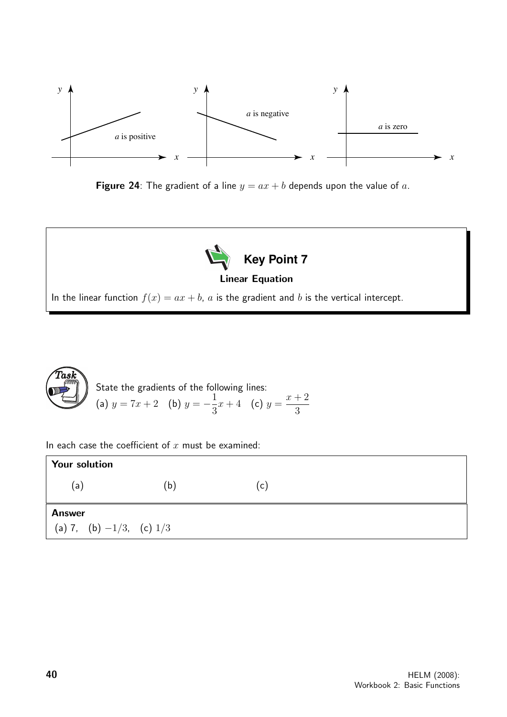

Figure 24: The gradient of a line  $y = ax + b$  depends upon the value of a.



In the linear function  $f(x) = ax + b$ , a is the gradient and b is the vertical intercept.



In each case the coefficient of  $x$  must be examined:

| <b>Your solution</b>          |     |                |  |
|-------------------------------|-----|----------------|--|
| (a)                           | (b) | $(\mathsf{c})$ |  |
| <b>Answer</b>                 |     |                |  |
| (a) 7, (b) $-1/3$ , (c) $1/3$ |     |                |  |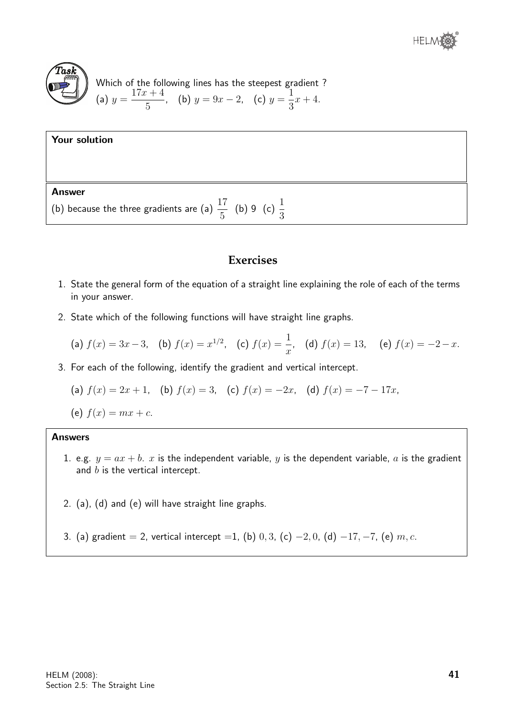

Which of the following lines has the steepest gradient ?  
\n(a) 
$$
y = \frac{17x + 4}{5}
$$
, (b)  $y = 9x - 2$ , (c)  $y = \frac{1}{3}x + 4$ .

#### Your solution

#### Answer

(b) because the three gradients are (a)  $\frac{17}{5}$ 5 (b) 9 (c)  $\frac{1}{2}$ 3

#### **Exercises**

- 1. State the general form of the equation of a straight line explaining the role of each of the terms in your answer.
- 2. State which of the following functions will have straight line graphs.

(a) 
$$
f(x) = 3x - 3
$$
, (b)  $f(x) = x^{1/2}$ , (c)  $f(x) = \frac{1}{x}$ , (d)  $f(x) = 13$ , (e)  $f(x) = -2 - x$ .

3. For each of the following, identify the gradient and vertical intercept.

(a) 
$$
f(x) = 2x + 1
$$
, (b)  $f(x) = 3$ , (c)  $f(x) = -2x$ , (d)  $f(x) = -7 - 17x$ ,

(e)  $f(x) = mx + c$ .

#### Answers

- 1. e.g.  $y = ax + b$ . x is the independent variable, y is the dependent variable, a is the gradient and  $b$  is the vertical intercept.
- 2. (a), (d) and (e) will have straight line graphs.
- 3. (a) gradient = 2, vertical intercept = 1, (b) 0, 3, (c) -2, 0, (d) -17, -7, (e)  $m, c$ .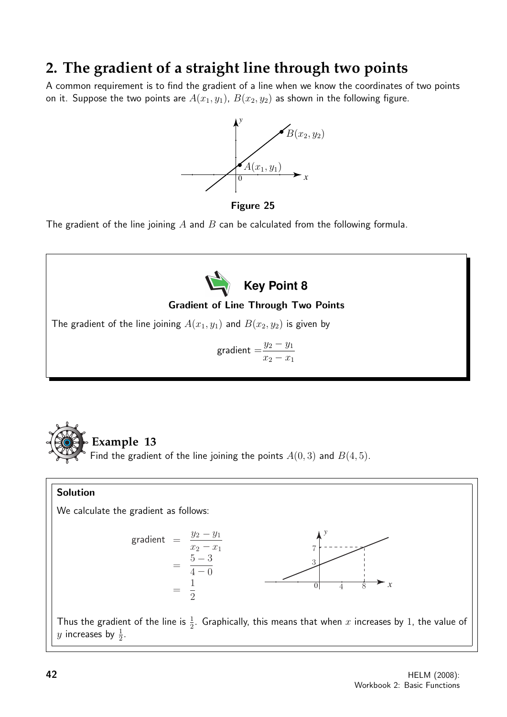# **2. The gradient of a straight line through two points**

A common requirement is to find the gradient of a line when we know the coordinates of two points on it. Suppose the two points are  $A(x_1, y_1)$ ,  $B(x_2, y_2)$  as shown in the following figure.



Figure 25

The gradient of the line joining A and B can be calculated from the following formula.





#### Solution

We calculate the gradient as follows:



Thus the gradient of the line is  $\frac{1}{2}$ . Graphically, this means that when x increases by 1, the value of  $y$  increases by  $\frac{1}{2}$ .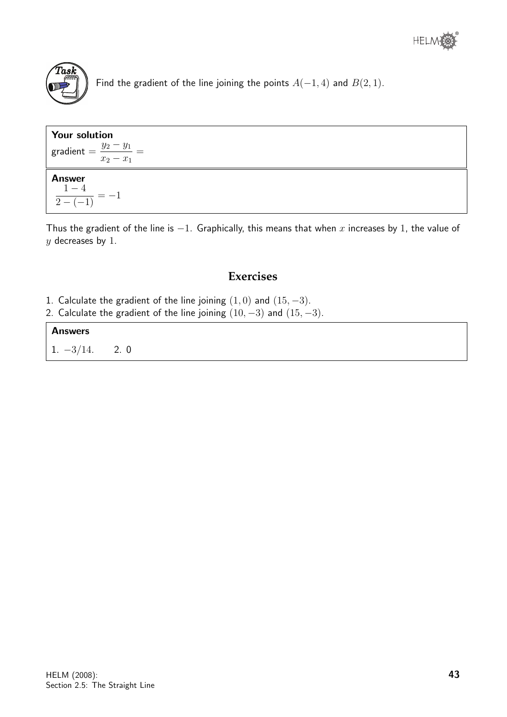

Find the gradient of the line joining the points  $A(-1, 4)$  and  $B(2, 1)$ .

| <b>Your solution</b><br>gradient = $\frac{y_2 - y_1}{x_2 - x_1}$ = |  |
|--------------------------------------------------------------------|--|
| <b>Answer</b><br>$\frac{1-4}{\frac{1}{2}+1}=-$                     |  |

Thus the gradient of the line is  $-1$ . Graphically, this means that when x increases by 1, the value of  $y$  decreases by 1.

## **Exercises**

- 1. Calculate the gradient of the line joining  $(1,0)$  and  $(15,-3)$ .
- 2. Calculate the gradient of the line joining  $(10, -3)$  and  $(15, -3)$ .

#### Answers

 $1. -3/14.$  2. 0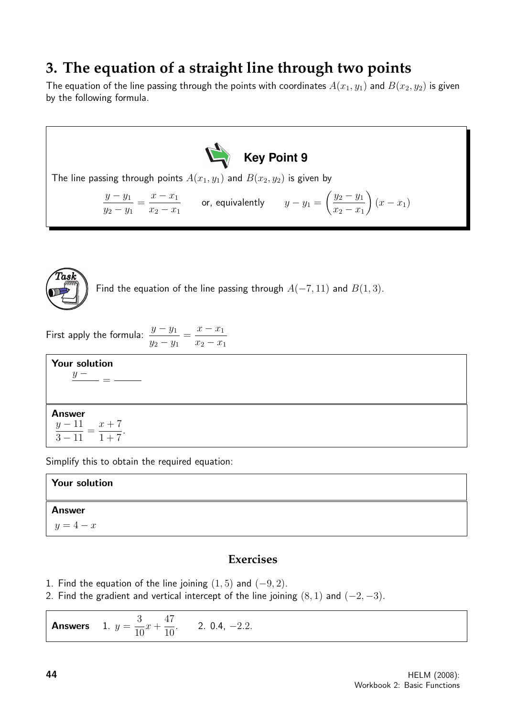# **3. The equation of a straight line through two points**

The equation of the line passing through the points with coordinates  $A(x_1, y_1)$  and  $B(x_2, y_2)$  is given by the following formula.



The line passing through points  $A(x_1, y_1)$  and  $B(x_2, y_2)$  is given by

$$
\frac{y - y_1}{y_2 - y_1} = \frac{x - x_1}{x_2 - x_1}
$$
 or, equivalently  $y - y_1 = \left(\frac{y_2 - y_1}{x_2 - x_1}\right)(x - x_1)$ 



Find the equation of the line passing through  $A(-7, 11)$  and  $B(1, 3)$ .

First apply the formula:  $\frac{y - y_1}{y}$  $y_2 - y_1$  $=\frac{x-x_1}{x_1+x_2+x_2}$  $x_2 - x_1$ 

Your solution  $y -$ =

Answer  $y-11$  $3 - 11$ =  $x + 7$  $1 + 7$ .

Simplify this to obtain the required equation:

| <b>Your solution</b> |  |
|----------------------|--|
| <b>Answer</b>        |  |
| $y=4-x$              |  |

## **Exercises**

- 1. Find the equation of the line joining  $(1, 5)$  and  $(-9, 2)$ .
- 2. Find the gradient and vertical intercept of the line joining  $(8, 1)$  and  $(-2, -3)$ .

**Answers** 3 10  $x +$ 47 10  $. 2.0.4, -2.2.$